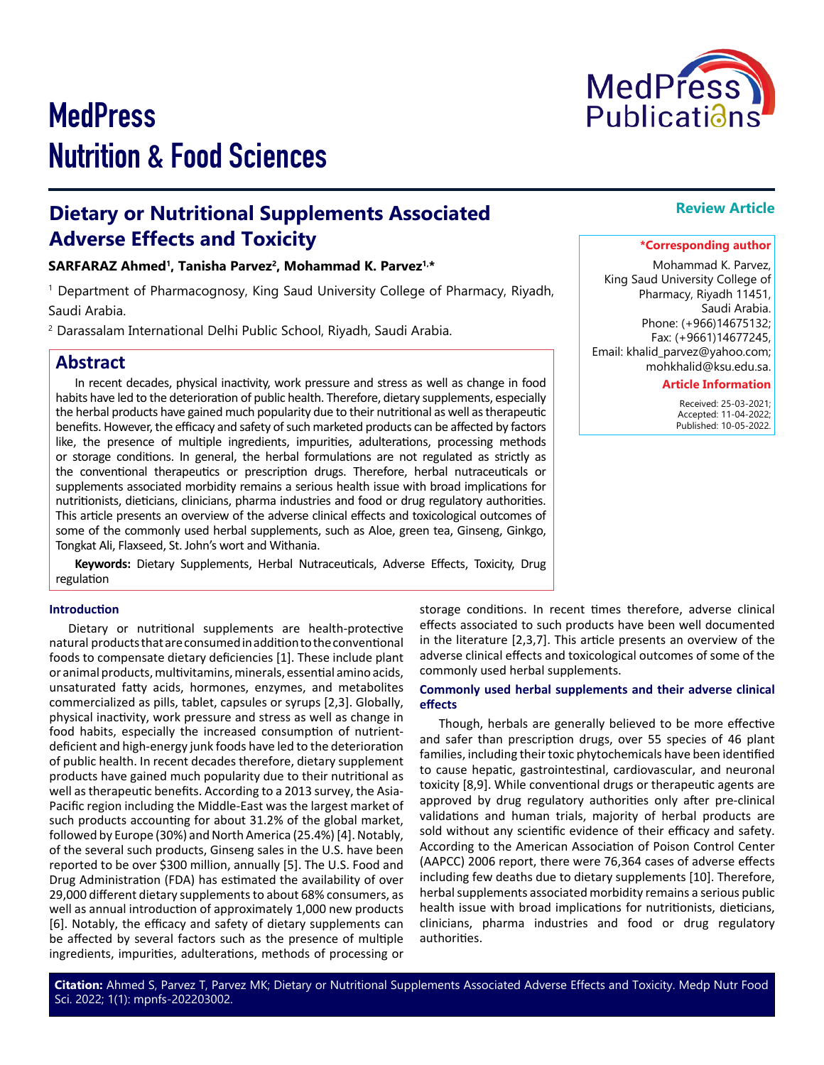# **MedPress** Nutrition & Food Sciences

# **Dietary or Nutritional Supplements Associated Adverse Effects and Toxicity**

# **SARFARAZ Ahmed1, Tanisha Parvez2, Mohammad K. Parvez1,\***

1 Department of Pharmacognosy, King Saud University College of Pharmacy, Riyadh, Saudi Arabia.

2 Darassalam International Delhi Public School, Riyadh, Saudi Arabia.

# **Abstract**

In recent decades, physical inactivity, work pressure and stress as well as change in food habits have led to the deterioration of public health. Therefore, dietary supplements, especially the herbal products have gained much popularity due to their nutritional as well as therapeutic benefits. However, the efficacy and safety of such marketed products can be affected by factors like, the presence of multiple ingredients, impurities, adulterations, processing methods or storage conditions. In general, the herbal formulations are not regulated as strictly as the conventional therapeutics or prescription drugs. Therefore, herbal nutraceuticals or supplements associated morbidity remains a serious health issue with broad implications for nutritionists, dieticians, clinicians, pharma industries and food or drug regulatory authorities. This article presents an overview of the adverse clinical effects and toxicological outcomes of some of the commonly used herbal supplements, such as Aloe, green tea, Ginseng, Ginkgo, Tongkat Ali, Flaxseed, St. John's wort and Withania.

**Keywords:** Dietary Supplements, Herbal Nutraceuticals, Adverse Effects, Toxicity, Drug regulation

### **Introduction**

Dietary or nutritional supplements are health-protective natural products that are consumed in addition to the conventional foods to compensate dietary deficiencies [1]. These include plant or animal products, multivitamins, minerals, essential amino acids, unsaturated fatty acids, hormones, enzymes, and metabolites commercialized as pills, tablet, capsules or syrups [2,3]. Globally, physical inactivity, work pressure and stress as well as change in food habits, especially the increased consumption of nutrientdeficient and high-energy junk foods have led to the deterioration of public health. In recent decades therefore, dietary supplement products have gained much popularity due to their nutritional as well as therapeutic benefits. According to a 2013 survey, the Asia-Pacific region including the Middle-East was the largest market of such products accounting for about 31.2% of the global market, followed by Europe (30%) and North America (25.4%) [4]. Notably, of the several such products, Ginseng sales in the U.S. have been reported to be over \$300 million, annually [5]. The U.S. Food and Drug Administration (FDA) has estimated the availability of over 29,000 different dietary supplements to about 68% consumers, as well as annual introduction of approximately 1,000 new products [6]. Notably, the efficacy and safety of dietary supplements can be affected by several factors such as the presence of multiple ingredients, impurities, adulterations, methods of processing or

storage conditions. In recent times therefore, adverse clinical effects associated to such products have been well documented in the literature [2,3,7]. This article presents an overview of the adverse clinical effects and toxicological outcomes of some of the commonly used herbal supplements.

#### **Commonly used herbal supplements and their adverse clinical effects**

Though, herbals are generally believed to be more effective and safer than prescription drugs, over 55 species of 46 plant families, including their toxic phytochemicals have been identified to cause hepatic, gastrointestinal, cardiovascular, and neuronal toxicity [8,9]. While conventional drugs or therapeutic agents are approved by drug regulatory authorities only after pre-clinical validations and human trials, majority of herbal products are sold without any scientific evidence of their efficacy and safety. According to the American Association of Poison Control Center (AAPCC) 2006 report, there were 76,364 cases of adverse effects including few deaths due to dietary supplements [10]. Therefore, herbal supplements associated morbidity remains a serious public health issue with broad implications for nutritionists, dieticians, clinicians, pharma industries and food or drug regulatory authorities.

# **Review Article**

# **\*Corresponding author**

Mohammad K. Parvez, King Saud University College of Pharmacy, Riyadh 11451, Saudi Arabia. Phone: (+966)14675132; Fax: (+9661)14677245, Email: khalid\_parvez@yahoo.com; mohkhalid@ksu.edu.sa.

### **Article Information**

 Received: 25-03-2021; Accepted: 11-04-2022; Published: 10-05-2022.

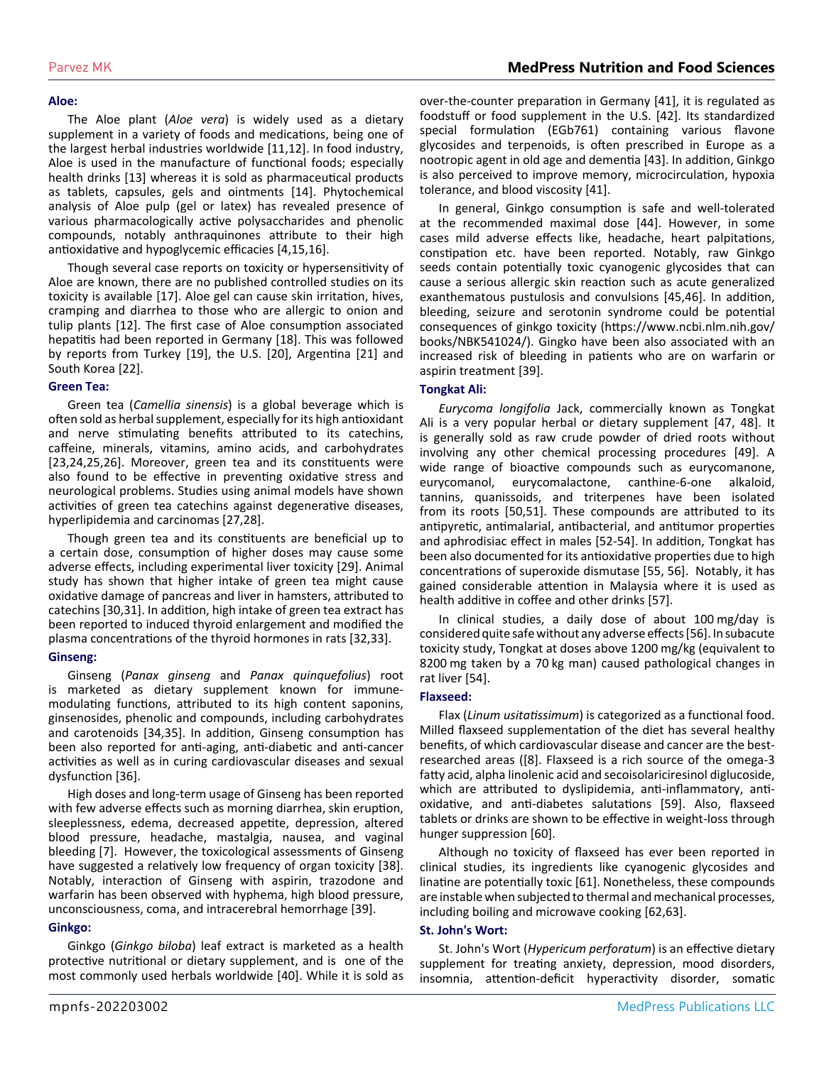#### **Aloe:**

The Aloe plant (*Aloe vera*) is widely used as a dietary supplement in a variety of foods and medications, being one of the largest herbal industries worldwide [11,12]. In food industry, Aloe is used in the manufacture of functional foods; especially health drinks [13] whereas it is sold as pharmaceutical products as tablets, capsules, gels and ointments [14]. Phytochemical analysis of Aloe pulp (gel or latex) has revealed presence of various pharmacologically active polysaccharides and phenolic compounds, notably anthraquinones attribute to their high antioxidative and hypoglycemic efficacies [4,15,16].

Though several case reports on toxicity or hypersensitivity of Aloe are known, there are no published controlled studies on its toxicity is available [17]. Aloe gel can cause skin irritation, hives, cramping and diarrhea to those who are allergic to onion and tulip plants [12]. The first case of Aloe consumption associated hepatitis had been reported in Germany [18]. This was followed by reports from Turkey [19], the U.S. [20], Argentina [21] and South Korea [22].

#### **Green Tea:**

Green tea (*Camellia sinensis*) is a global beverage which is often sold as herbal supplement, especially for its high antioxidant and nerve stimulating benefits attributed to its catechins, caffeine, minerals, vitamins, amino acids, and carbohydrates [23,24,25,26]. Moreover, green tea and its constituents were also found to be effective in preventing oxidative stress and neurological problems. Studies using animal models have shown activities of green tea catechins against degenerative diseases, hyperlipidemia and carcinomas [27,28].

Though green tea and its constituents are beneficial up to a certain dose, consumption of higher doses may cause some adverse effects, including experimental liver toxicity [29]. Animal study has shown that higher intake of green tea might cause oxidative damage of pancreas and liver in hamsters, attributed to catechins [30,31]. In addition, high intake of green tea extract has been reported to induced thyroid enlargement and modified the plasma concentrations of the thyroid hormones in rats [32,33].

#### **Ginseng:**

Ginseng (*Panax ginseng* and *Panax quinquefolius*) root is marketed as dietary supplement known for immunemodulating functions, attributed to its high content saponins, ginsenosides, phenolic and compounds, including carbohydrates and carotenoids [34,35]. In addition, Ginseng consumption has been also reported for anti-aging, anti-diabetic and anti-cancer activities as well as in curing cardiovascular diseases and sexual dysfunction [36].

High doses and long-term usage of Ginseng has been reported with few adverse effects such as morning diarrhea, skin eruption, sleeplessness, edema, decreased appetite, depression, altered blood pressure, headache, mastalgia, nausea, and vaginal bleeding [7]. However, the toxicological assessments of Ginseng have suggested a relatively low frequency of organ toxicity [38]. Notably, interaction of Ginseng with aspirin, trazodone and warfarin has been observed with hyphema, high blood pressure, unconsciousness, coma, and intracerebral hemorrhage [39].

#### **Ginkgo:**

Ginkgo (*Ginkgo biloba*) leaf extract is marketed as a health protective nutritional or dietary supplement, and is one of the most commonly used herbals worldwide [40]. While it is sold as over-the-counter preparation in Germany [41], it is regulated as foodstuff or food supplement in the U.S. [42]. Its standardized special formulation (EGb761) containing various flavone glycosides and terpenoids, is often prescribed in Europe as a nootropic agent in old age and dementia [43]. In addition, Ginkgo is also perceived to improve memory, microcirculation, hypoxia tolerance, and blood viscosity [41].

In general, Ginkgo consumption is safe and well-tolerated at the recommended maximal dose [44]. However, in some cases mild adverse effects like, headache, heart palpitations, constipation etc. have been reported. Notably, raw Ginkgo seeds contain potentially toxic cyanogenic glycosides that can cause a serious allergic skin reaction such as acute generalized exanthematous pustulosis and convulsions [45,46]. In addition, bleeding, seizure and serotonin syndrome could be potential consequences of ginkgo toxicity (https://www.ncbi.nlm.nih.gov/ books/NBK541024/). Gingko have been also associated with an increased risk of bleeding in patients who are on warfarin or aspirin treatment [39].

#### **Tongkat Ali:**

*Eurycoma longifolia* Jack, commercially known as Tongkat Ali is a very popular herbal or dietary supplement [47, 48]. It is generally sold as raw crude powder of dried roots without involving any other chemical processing procedures [49]. A wide range of bioactive compounds such as eurycomanone, eurycomanol, eurycomalactone, canthine-6-one alkaloid, tannins, quanissoids, and triterpenes have been isolated from its roots [50,51]. These compounds are attributed to its antipyretic, antimalarial, antibacterial, and antitumor properties and aphrodisiac effect in males [52-54]. In addition, Tongkat has been also documented for its antioxidative properties due to high concentrations of superoxide dismutase [55, 56]. Notably, it has gained considerable attention in Malaysia where it is used as health additive in coffee and other drinks [57].

In clinical studies, a daily dose of about 100 mg/day is considered quite safe without any adverse effects [56]. In subacute toxicity study, Tongkat at doses above 1200 mg/kg (equivalent to 8200 mg taken by a 70 kg man) caused pathological changes in rat liver [54].

#### **Flaxseed:**

Flax (*Linum usitatissimum*) is categorized as a functional food. Milled flaxseed supplementation of the diet has several healthy benefits, of which cardiovascular disease and cancer are the bestresearched areas ([8]. Flaxseed is a rich source of the omega-3 fatty acid, alpha linolenic acid and secoisolariciresinol diglucoside, which are attributed to dyslipidemia, anti-inflammatory, antioxidative, and anti-diabetes salutations [59]. Also, flaxseed tablets or drinks are shown to be effective in weight-loss through hunger suppression [60].

Although no toxicity of flaxseed has ever been reported in clinical studies, its ingredients like cyanogenic glycosides and linatine are potentially toxic [61]. Nonetheless, these compounds are instable when subjected to thermal and mechanical processes, including boiling and microwave cooking [62,63].

#### **St. John's Wort:**

St. John's Wort (*Hypericum perforatum*) is an effective dietary supplement for treating anxiety, depression, mood disorders, insomnia, attention-deficit hyperactivity disorder, somatic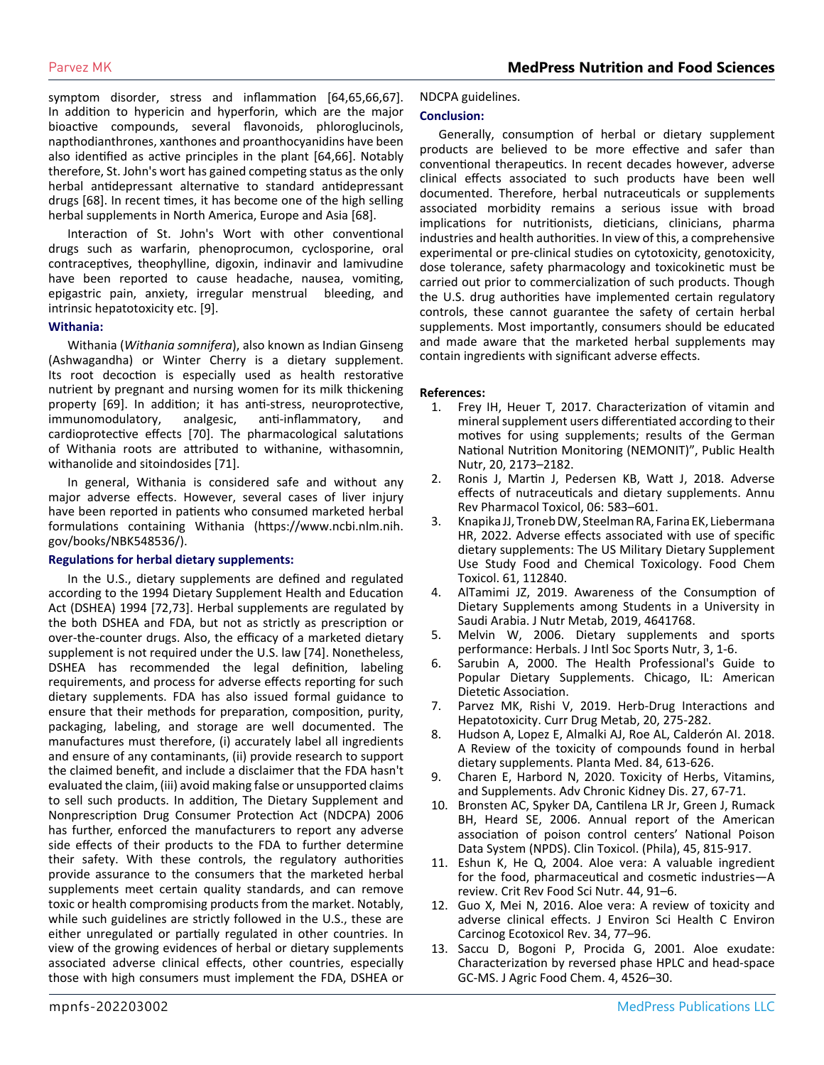symptom disorder, stress and inflammation [64,65,66,67]. In addition to hypericin and hyperforin, which are the major bioactive compounds, several flavonoids, phloroglucinols, napthodianthrones, xanthones and proanthocyanidins have been also identified as active principles in the plant [64,66]. Notably therefore, St. John's wort has gained competing status as the only herbal antidepressant alternative to standard antidepressant drugs [68]. In recent times, it has become one of the high selling herbal supplements in North America, Europe and Asia [68].

Interaction of St. John's Wort with other conventional drugs such as warfarin, phenoprocumon, cyclosporine, oral contraceptives, theophylline, digoxin, indinavir and lamivudine have been reported to cause headache, nausea, vomiting, epigastric pain, anxiety, irregular menstrual bleeding, and intrinsic hepatotoxicity etc. [9].

#### **Withania:**

Withania (*Withania somnifera*), also known as Indian Ginseng (Ashwagandha) or Winter Cherry is a dietary supplement. Its root decoction is especially used as health restorative nutrient by pregnant and nursing women for its milk thickening property [69]. In addition; it has anti-stress, neuroprotective, immunomodulatory, analgesic, anti-inflammatory, and cardioprotective effects [70]. The pharmacological salutations of Withania roots are attributed to withanine, withasomnin, withanolide and sitoindosides [71].

In general, Withania is considered safe and without any major adverse effects. However, several cases of liver injury have been reported in patients who consumed marketed herbal formulations containing Withania ([https://www.ncbi.nlm.nih.](https://www.ncbi.nlm.nih.gov/books/NBK548536/) [gov/books/NBK548536/\)](https://www.ncbi.nlm.nih.gov/books/NBK548536/).

#### **Regulations for herbal dietary supplements:**

In the U.S., dietary supplements are defined and regulated according to the 1994 Dietary Supplement Health and Education Act (DSHEA) 1994 [72,73]. Herbal supplements are regulated by the both DSHEA and FDA, but not as strictly as prescription or over-the-counter drugs. Also, the efficacy of a marketed dietary supplement is not required under the U.S. law [74]. Nonetheless, DSHEA has recommended the legal definition, labeling requirements, and process for adverse effects reporting for such dietary supplements. FDA has also issued formal guidance to ensure that their methods for preparation, composition, purity, packaging, labeling, and storage are well documented. The manufactures must therefore, (i) accurately label all ingredients and ensure of any contaminants, (ii) provide research to support the claimed benefit, and include a disclaimer that the FDA hasn't evaluated the claim, (iii) avoid making false or unsupported claims to sell such products. In addition, The Dietary Supplement and Nonprescription Drug Consumer Protection Act (NDCPA) 2006 has further, enforced the manufacturers to report any adverse side effects of their products to the FDA to further determine their safety. With these controls, the regulatory authorities provide assurance to the consumers that the marketed herbal supplements meet certain quality standards, and can remove toxic or health compromising products from the market. Notably, while such guidelines are strictly followed in the U.S., these are either unregulated or partially regulated in other countries. In view of the growing evidences of herbal or dietary supplements associated adverse clinical effects, other countries, especially those with high consumers must implement the FDA, DSHEA or

#### NDCPA guidelines.

#### **Conclusion:**

Generally, consumption of herbal or dietary supplement products are believed to be more effective and safer than conventional therapeutics. In recent decades however, adverse clinical effects associated to such products have been well documented. Therefore, herbal nutraceuticals or supplements associated morbidity remains a serious issue with broad implications for nutritionists, dieticians, clinicians, pharma industries and health authorities. In view of this, a comprehensive experimental or pre-clinical studies on cytotoxicity, genotoxicity, dose tolerance, safety pharmacology and toxicokinetic must be carried out prior to commercialization of such products. Though the U.S. drug authorities have implemented certain regulatory controls, these cannot guarantee the safety of certain herbal supplements. Most importantly, consumers should be educated and made aware that the marketed herbal supplements may contain ingredients with significant adverse effects.

#### **References:**

- 1. [Frey IH, Heuer T, 2017. Characterization of vitamin and](https://pubmed.ncbi.nlm.nih.gov/28629485/)  [mineral supplement users differentiated according to their](https://pubmed.ncbi.nlm.nih.gov/28629485/)  [motives for using supplements; results of the German](https://pubmed.ncbi.nlm.nih.gov/28629485/) [National Nutrition Monitoring \(NEMONIT\)", Public Health](https://pubmed.ncbi.nlm.nih.gov/28629485/)  [Nutr, 20, 2173–2182.](https://pubmed.ncbi.nlm.nih.gov/28629485/)
- 2. [Ronis J, Martin J, Pedersen KB, Watt J, 2018. Adverse](https://www.ncbi.nlm.nih.gov/pmc/articles/PMC6380172/) [effects of nutraceuticals and dietary supplements. Annu](https://www.ncbi.nlm.nih.gov/pmc/articles/PMC6380172/)  [Rev Pharmacol Toxicol, 06: 583–601.](https://www.ncbi.nlm.nih.gov/pmc/articles/PMC6380172/)
- 3. [Knapika JJ, Troneb DW, Steelman RA, Farina EK, Liebermana](https://www.sciencedirect.com/science/article/pii/S0278691522000370)  [HR, 2022. Adverse effects associated with use of specific](https://www.sciencedirect.com/science/article/pii/S0278691522000370)  [dietary supplements: The US Military Dietary Supplement](https://www.sciencedirect.com/science/article/pii/S0278691522000370)  [Use Study Food and Chemical Toxicology. Food Chem](https://www.sciencedirect.com/science/article/pii/S0278691522000370)  [Toxicol. 61, 112840.](https://www.sciencedirect.com/science/article/pii/S0278691522000370)
- 4. [AlTamimi JZ, 2019. Awareness of the Consumption of](https://www.hindawi.com/journals/jnme/2019/4641768/)  [Dietary Supplements among Students in a University in](https://www.hindawi.com/journals/jnme/2019/4641768/)  [Saudi Arabia. J Nutr Metab, 2019, 4641768.](https://www.hindawi.com/journals/jnme/2019/4641768/)
- 5. [Melvin W, 2006. Dietary supplements and sports](https://pubmed.ncbi.nlm.nih.gov/18500959/)  [performance: Herbals. J Intl Soc Sports Nutr, 3, 1-6.](https://pubmed.ncbi.nlm.nih.gov/18500959/)
- 6. Sarubin A, 2000. The Health Professional's Guide to Popular Dietary Supplements. Chicago, IL: American Dietetic Association.
- 7. [Parvez MK, Rishi V, 2019. Herb-Drug Interactions and](https://pubmed.ncbi.nlm.nih.gov/30914020/#:~:text=Several cases of hepatotoxicity due,reactions and the underlying mechanisms.)  [Hepatotoxicity. Curr Drug Metab, 20, 275-282.](https://pubmed.ncbi.nlm.nih.gov/30914020/#:~:text=Several cases of hepatotoxicity due,reactions and the underlying mechanisms.)
- 8. [Hudson A, Lopez E, Almalki AJ, Roe AL, Calderón AI. 2018.](https://pubmed.ncbi.nlm.nih.gov/29672820/)  [A Review of the toxicity of compounds found in herbal](https://pubmed.ncbi.nlm.nih.gov/29672820/)  [dietary supplements. Planta Med. 84, 613-626.](https://pubmed.ncbi.nlm.nih.gov/29672820/)
- 9. [Charen E, Harbord N, 2020. Toxicity of Herbs, Vitamins,](https://pubmed.ncbi.nlm.nih.gov/32147004/)  [and Supplements. Adv Chronic Kidney Dis. 27, 67-71.](https://pubmed.ncbi.nlm.nih.gov/32147004/)
- Bronsten AC, Spyker DA, Cantilena LR Jr, Green J, Rumack BH, Heard SE, 2006. Annual report of the American association of poison control centers' National Poison Data System (NPDS). Clin Toxicol. (Phila), 45, 815-917.
- 11. [Eshun K, He Q, 2004. Aloe vera: A valuable ingredient](https://pubmed.ncbi.nlm.nih.gov/15116756/)  [for the food, pharmaceutical and cosmetic industries—A](https://pubmed.ncbi.nlm.nih.gov/15116756/)  [review. Crit Rev Food Sci Nutr. 44, 91–6.](https://pubmed.ncbi.nlm.nih.gov/15116756/)
- 12. [Guo X, Mei N, 2016. Aloe vera: A review of toxicity and](https://www.ncbi.nlm.nih.gov/pmc/articles/PMC6349368/#:~:text=Chemical analysis reveals that the,as phototoxicity and hypersensitive reactions.)  [adverse clinical effects. J Environ Sci Health C Environ](https://www.ncbi.nlm.nih.gov/pmc/articles/PMC6349368/#:~:text=Chemical analysis reveals that the,as phototoxicity and hypersensitive reactions.)  [Carcinog Ecotoxicol Rev. 34, 77–96.](https://www.ncbi.nlm.nih.gov/pmc/articles/PMC6349368/#:~:text=Chemical analysis reveals that the,as phototoxicity and hypersensitive reactions.)
- 13. [Saccu D, Bogoni P, Procida G, 2001. Aloe exudate:](https://pubmed.ncbi.nlm.nih.gov/11599983/)  [Characterization by reversed phase HPLC and head-space](https://pubmed.ncbi.nlm.nih.gov/11599983/)  [GC-MS. J Agric Food Chem. 4, 4526–30.](https://pubmed.ncbi.nlm.nih.gov/11599983/)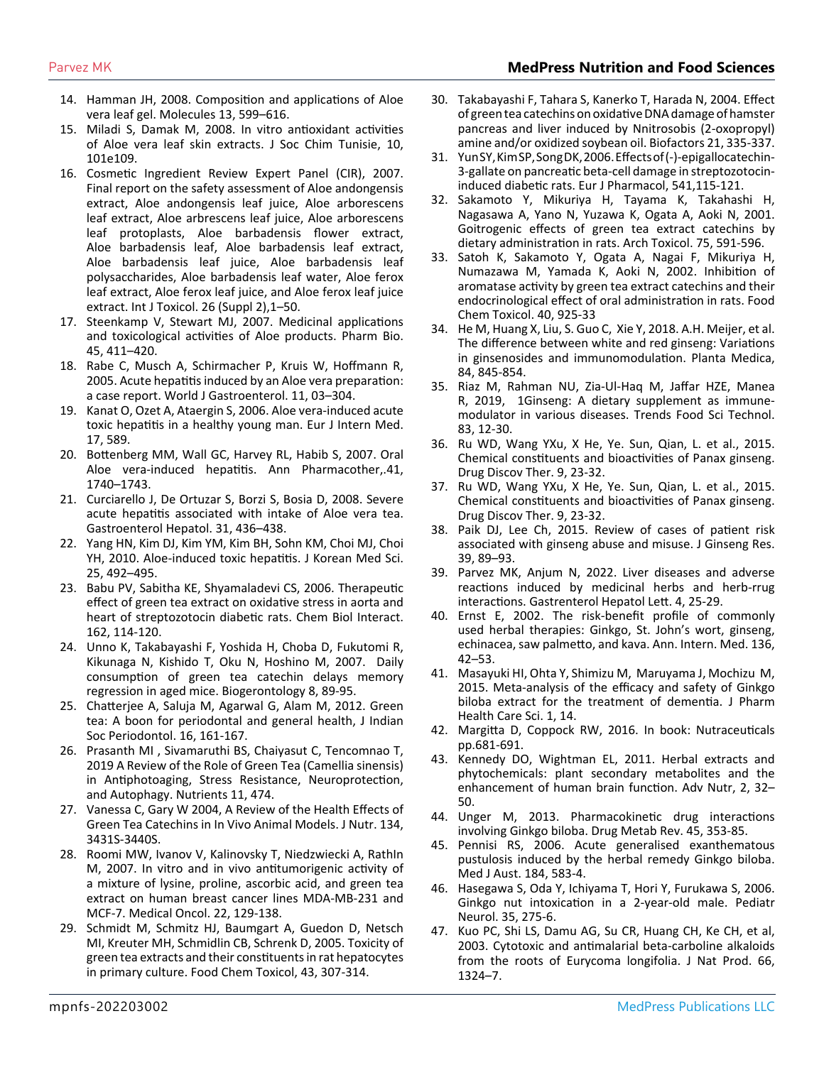# Parvez MK **MedPress Nutrition and Food Sciences**

- 14. [Hamman JH, 2008. Composition and applications of Aloe](https://pubmed.ncbi.nlm.nih.gov/18794775/#:~:text=These biological activities include promotion,anticancer%2C immunomodulatory and gastroprotective properties.)  [vera leaf gel. Molecules 13, 599–616.](https://pubmed.ncbi.nlm.nih.gov/18794775/#:~:text=These biological activities include promotion,anticancer%2C immunomodulatory and gastroprotective properties.)
- 15. [Miladi S, Damak M, 2008. In vitro antioxidant activities](https://www.semanticscholar.org/paper/IN-VITRO-ANTIOXIDANT-ACTIVITIES-OF-Aloe-vera-LEAF-Miladi-Damak/f9b905b5517051c87d888a89b79b3e64d1b21452)  [of Aloe vera leaf skin extracts. J Soc Chim Tunisie, 10,](https://www.semanticscholar.org/paper/IN-VITRO-ANTIOXIDANT-ACTIVITIES-OF-Aloe-vera-LEAF-Miladi-Damak/f9b905b5517051c87d888a89b79b3e64d1b21452) [101e109.](https://www.semanticscholar.org/paper/IN-VITRO-ANTIOXIDANT-ACTIVITIES-OF-Aloe-vera-LEAF-Miladi-Damak/f9b905b5517051c87d888a89b79b3e64d1b21452)
- 16. Cosmetic Ingredient Review Expert Panel (CIR), 2007. Final report on the safety assessment of Aloe andongensis extract, Aloe andongensis leaf juice, Aloe arborescens leaf extract, Aloe arbrescens leaf juice, Aloe arborescens leaf protoplasts, Aloe barbadensis flower extract, Aloe barbadensis leaf, Aloe barbadensis leaf extract, Aloe barbadensis leaf juice, Aloe barbadensis leaf polysaccharides, Aloe barbadensis leaf water, Aloe ferox leaf extract, Aloe ferox leaf juice, and Aloe ferox leaf juice extract. Int J Toxicol. 26 (Suppl 2),1–50.
- 17. [Steenkamp V, Stewart MJ, 2007. Medicinal applications](https://www.tandfonline.com/doi/full/10.1080/13880200701215307)  [and toxicological activities of Aloe products. Pharm Bio.](https://www.tandfonline.com/doi/full/10.1080/13880200701215307)  [45, 411–420.](https://www.tandfonline.com/doi/full/10.1080/13880200701215307)
- 18. [Rabe C, Musch A, Schirmacher P, Kruis W, Hoffmann R,](https://www.ncbi.nlm.nih.gov/pmc/articles/PMC4205424/) [2005. Acute hepatitis induced by an Aloe vera preparation:](https://www.ncbi.nlm.nih.gov/pmc/articles/PMC4205424/)  [a case report. World J Gastroenterol. 11, 03–304.](https://www.ncbi.nlm.nih.gov/pmc/articles/PMC4205424/)
- 19. [Kanat O, Ozet A, Ataergin S, 2006. Aloe vera-induced acute](https://pubmed.ncbi.nlm.nih.gov/17142185/)  [toxic hepatitis in a healthy young man. Eur J Intern Med.](https://pubmed.ncbi.nlm.nih.gov/17142185/)  [17, 589.](https://pubmed.ncbi.nlm.nih.gov/17142185/)
- 20. [Bottenberg MM, Wall GC, Harvey RL, Habib S, 2007. Oral](https://pubmed.ncbi.nlm.nih.gov/17726067/)  [Aloe vera-induced hepatitis. Ann Pharmacother,.41,](https://pubmed.ncbi.nlm.nih.gov/17726067/) [1740–1743.](https://pubmed.ncbi.nlm.nih.gov/17726067/)
- 21. [Curciarello J, De Ortuzar S, Borzi S, Bosia D, 2008. Severe](https://pubmed.ncbi.nlm.nih.gov/18783689/) [acute hepatitis associated with intake of Aloe vera tea.](https://pubmed.ncbi.nlm.nih.gov/18783689/)  [Gastroenterol Hepatol. 31, 436–438.](https://pubmed.ncbi.nlm.nih.gov/18783689/)
- 22. [Yang HN, Kim DJ, Kim YM, Kim BH, Sohn KM, Choi MJ, Choi](https://pubmed.ncbi.nlm.nih.gov/20191055/#:~:text=Their clinical manifestation%2C laboratory findings,a causative agent in hepatotoxicity.)  [YH, 2010. Aloe-induced toxic hepatitis. J Korean Med Sci.](https://pubmed.ncbi.nlm.nih.gov/20191055/#:~:text=Their clinical manifestation%2C laboratory findings,a causative agent in hepatotoxicity.)  [25, 492–495.](https://pubmed.ncbi.nlm.nih.gov/20191055/#:~:text=Their clinical manifestation%2C laboratory findings,a causative agent in hepatotoxicity.)
- 23. [Babu PV, Sabitha KE, Shyamaladevi CS, 2006. Therapeutic](https://pubmed.ncbi.nlm.nih.gov/16860299/#:~:text=But green tea by providing,cardiac dysfunction in diabetes mellitus.)  [effect of green tea extract on oxidative stress in aorta and](https://pubmed.ncbi.nlm.nih.gov/16860299/#:~:text=But green tea by providing,cardiac dysfunction in diabetes mellitus.)  [heart of streptozotocin diabetic rats. Chem Biol Interact.](https://pubmed.ncbi.nlm.nih.gov/16860299/#:~:text=But green tea by providing,cardiac dysfunction in diabetes mellitus.)  [162, 114-120.](https://pubmed.ncbi.nlm.nih.gov/16860299/#:~:text=But green tea by providing,cardiac dysfunction in diabetes mellitus.)
- 24. [Unno K, Takabayashi F, Yoshida H, Choba D, Fukutomi R,](https://pubmed.ncbi.nlm.nih.gov/16957869/#:~:text=Mice were fed water containing,it did delay brain senescence.)  [Kikunaga N, Kishido T, Oku N, Hoshino M, 2007. Daily](https://pubmed.ncbi.nlm.nih.gov/16957869/#:~:text=Mice were fed water containing,it did delay brain senescence.)  [consumption of green tea catechin delays memory](https://pubmed.ncbi.nlm.nih.gov/16957869/#:~:text=Mice were fed water containing,it did delay brain senescence.) [regression in aged mice. Biogerontology 8, 89-95.](https://pubmed.ncbi.nlm.nih.gov/16957869/#:~:text=Mice were fed water containing,it did delay brain senescence.)
- 25. [Chatterjee A, Saluja M, Agarwal G, Alam M, 2012. Green](https://www.ncbi.nlm.nih.gov/pmc/articles/PMC3459493/) [tea: A boon for periodontal and general health, J Indian](https://www.ncbi.nlm.nih.gov/pmc/articles/PMC3459493/)  [Soc Periodontol. 16, 161-167.](https://www.ncbi.nlm.nih.gov/pmc/articles/PMC3459493/)
- 26. [Prasanth MI , Sivamaruthi BS, Chaiyasut C, Tencomnao T,](https://pubmed.ncbi.nlm.nih.gov/30813433/)  [2019 A Review of the Role of Green Tea \(Camellia sinensis\)](https://pubmed.ncbi.nlm.nih.gov/30813433/)  [in Antiphotoaging, Stress Resistance, Neuroprotection,](https://pubmed.ncbi.nlm.nih.gov/30813433/)  [and Autophagy. Nutrients 11, 474.](https://pubmed.ncbi.nlm.nih.gov/30813433/)
- 27. [Vanessa C, Gary W 2004, A Review of the Health Effects of](https://pubmed.ncbi.nlm.nih.gov/15570050/)  [Green Tea Catechins in In Vivo Animal Models. J Nutr. 134,](https://pubmed.ncbi.nlm.nih.gov/15570050/) [3431S-3440S.](https://pubmed.ncbi.nlm.nih.gov/15570050/)
- 28. [Roomi MW, Ivanov V, Kalinovsky T, Niedzwiecki A, RathIn](https://pubmed.ncbi.nlm.nih.gov/15965275/)  [M, 2007. In vitro and in vivo antitumorigenic activity of](https://pubmed.ncbi.nlm.nih.gov/15965275/)  [a mixture of lysine, proline, ascorbic acid, and green tea](https://pubmed.ncbi.nlm.nih.gov/15965275/) [extract on human breast cancer lines MDA-MB-231 and](https://pubmed.ncbi.nlm.nih.gov/15965275/)  [MCF-7. Medical Oncol. 22, 129-138.](https://pubmed.ncbi.nlm.nih.gov/15965275/)
- 29. [Schmidt M, Schmitz HJ, Baumgart A, Guedon D, Netsch](https://pubmed.ncbi.nlm.nih.gov/15621343/) [MI, Kreuter MH, Schmidlin CB, Schrenk D, 2005. Toxicity of](https://pubmed.ncbi.nlm.nih.gov/15621343/)  [green tea extracts and their constituents in rat hepatocytes](https://pubmed.ncbi.nlm.nih.gov/15621343/)  [in primary culture. Food Chem Toxicol, 43, 307-314.](https://pubmed.ncbi.nlm.nih.gov/15621343/)
- 30. [Takabayashi F, Tahara S, Kanerko T, Harada N, 2004. Effect](https://pubmed.ncbi.nlm.nih.gov/15630222/)  [of green tea catechins on oxidative DNA damage of hamster](https://pubmed.ncbi.nlm.nih.gov/15630222/) [pancreas and liver induced by Nnitrosobis \(2-oxopropyl\)](https://pubmed.ncbi.nlm.nih.gov/15630222/)  [amine and/or oxidized soybean oil. Biofactors 21, 335-337.](https://pubmed.ncbi.nlm.nih.gov/15630222/)
- 31. [Yun SY, Kim SP, Song DK, 2006. Effects of \(-\)-epigallocatechin-](https://pubmed.ncbi.nlm.nih.gov/16765345/)[3-gallate on pancreatic beta-cell damage in streptozotocin](https://pubmed.ncbi.nlm.nih.gov/16765345/)[induced diabetic rats. Eur J Pharmacol, 541,115-121.](https://pubmed.ncbi.nlm.nih.gov/16765345/)
- 32. [Sakamoto Y, Mikuriya H, Tayama K, Takahashi H,](https://pubmed.ncbi.nlm.nih.gov/11808919/#:~:text=The degree and incidence of,to antithyroid effects of catechins.)  [Nagasawa A, Yano N, Yuzawa K, Ogata A, Aoki N, 2001.](https://pubmed.ncbi.nlm.nih.gov/11808919/#:~:text=The degree and incidence of,to antithyroid effects of catechins.)  [Goitrogenic effects of green tea extract catechins by](https://pubmed.ncbi.nlm.nih.gov/11808919/#:~:text=The degree and incidence of,to antithyroid effects of catechins.)  [dietary administration in rats. Arch Toxicol. 75, 591-596.](https://pubmed.ncbi.nlm.nih.gov/11808919/#:~:text=The degree and incidence of,to antithyroid effects of catechins.)
- 33. [Satoh K, Sakamoto Y, Ogata A, Nagai F, Mikuriya H,](https://pubmed.ncbi.nlm.nih.gov/12065214/)  [Numazawa M, Yamada K, Aoki N, 2002. Inhibition of](https://pubmed.ncbi.nlm.nih.gov/12065214/)  [aromatase activity by green tea extract catechins and their](https://pubmed.ncbi.nlm.nih.gov/12065214/)  [endocrinological effect of oral administration in rats. Food](https://pubmed.ncbi.nlm.nih.gov/12065214/)  [Chem Toxicol. 40, 925-33](https://pubmed.ncbi.nlm.nih.gov/12065214/)
- 34. [He M, Huang X, Liu, S. Guo C, Xie Y, 2018. A.H. Meijer, et al.](https://pubmed.ncbi.nlm.nih.gov/29925101/)  [The difference between white and red ginseng: Variations](https://pubmed.ncbi.nlm.nih.gov/29925101/)  [in ginsenosides and immunomodulation. Planta Medica,](https://pubmed.ncbi.nlm.nih.gov/29925101/)  [84, 845-854.](https://pubmed.ncbi.nlm.nih.gov/29925101/)
- 35. [Riaz M, Rahman NU, Zia-Ul-Haq M, Jaffar HZE, Manea](https://www.sciencedirect.com/science/article/pii/S0924224418302735)  [R, 2019, 1Ginseng: A dietary supplement as immune](https://www.sciencedirect.com/science/article/pii/S0924224418302735)[modulator in various diseases. Trends Food Sci Technol.](https://www.sciencedirect.com/science/article/pii/S0924224418302735)  [83, 12-30.](https://www.sciencedirect.com/science/article/pii/S0924224418302735)
- 36. [Ru WD, Wang YXu, X He, Ye. Sun, Qian, L. et al., 2015.](https://pubmed.ncbi.nlm.nih.gov/25788049/)  [Chemical constituents and bioactivities of Panax ginseng.](https://pubmed.ncbi.nlm.nih.gov/25788049/)  [Drug Discov Ther. 9, 23-32.](https://pubmed.ncbi.nlm.nih.gov/25788049/)
- 37. [Ru WD, Wang YXu, X He, Ye. Sun, Qian, L. et al., 2015.](https://pubmed.ncbi.nlm.nih.gov/25788049/)  [Chemical constituents and bioactivities of Panax ginseng.](https://pubmed.ncbi.nlm.nih.gov/25788049/)  [Drug Discov Ther. 9, 23-32.](https://pubmed.ncbi.nlm.nih.gov/25788049/)
- 38. [Paik DJ, Lee Ch, 2015. Review of cases of patient risk](https://www.ncbi.nlm.nih.gov/pmc/articles/PMC4452531/#:~:text=Siegel %5B16%5D described the unfavorable,and hypotension (%E2%88%BC10%25).)  [associated with ginseng abuse and misuse. J Ginseng Res.](https://www.ncbi.nlm.nih.gov/pmc/articles/PMC4452531/#:~:text=Siegel %5B16%5D described the unfavorable,and hypotension (%E2%88%BC10%25).)  [39, 89–93.](https://www.ncbi.nlm.nih.gov/pmc/articles/PMC4452531/#:~:text=Siegel %5B16%5D described the unfavorable,and hypotension (%E2%88%BC10%25).)
- 39. [Parvez MK, Anjum N, 2022. Liver diseases and adverse](https://pubmed.ncbi.nlm.nih.gov/30914020/)  [reactions induced by medicinal herbs and herb-rrug](https://pubmed.ncbi.nlm.nih.gov/30914020/)  [interactions. Gastrenterol Hepatol Lett. 4, 25-29.](https://pubmed.ncbi.nlm.nih.gov/30914020/)
- 40. [Ernst E, 2002. The risk-benefit profile of commonly](https://pubmed.ncbi.nlm.nih.gov/11777363/)  [used herbal therapies: Ginkgo, St. John's wort, ginseng,](https://pubmed.ncbi.nlm.nih.gov/11777363/)  [echinacea, saw palmetto, and kava. Ann. Intern. Med. 136,](https://pubmed.ncbi.nlm.nih.gov/11777363/)  [42–53.](https://pubmed.ncbi.nlm.nih.gov/11777363/)
- 41. [Masayuki HI, Ohta Y, Shimizu M, Maruyama J, Mochizu M,](https://pubmed.ncbi.nlm.nih.gov/26819725/)  [2015. Meta-analysis of the efficacy and safety of Ginkgo](https://pubmed.ncbi.nlm.nih.gov/26819725/)  [biloba extract for the treatment of dementia. J Pharm](https://pubmed.ncbi.nlm.nih.gov/26819725/)  [Health Care Sci. 1, 14.](https://pubmed.ncbi.nlm.nih.gov/26819725/)
- 42. Margitta D, Coppock RW, 2016. In book: Nutraceuticals pp.681-691.
- 43. [Kennedy DO, Wightman EL, 2011. Herbal extracts and](https://academic.oup.com/advances/article/2/1/32/4591639)  [phytochemicals: plant secondary metabolites and the](https://academic.oup.com/advances/article/2/1/32/4591639)  [enhancement of human brain function. Adv Nutr, 2, 32–](https://academic.oup.com/advances/article/2/1/32/4591639) [50.](https://academic.oup.com/advances/article/2/1/32/4591639)
- 44. [Unger M, 2013. Pharmacokinetic drug interactions](https://pubmed.ncbi.nlm.nih.gov/23865865/)  [involving Ginkgo biloba. Drug Metab Rev. 45, 353-85.](https://pubmed.ncbi.nlm.nih.gov/23865865/)
- 45. [Pennisi RS, 2006. Acute generalised exanthematous](https://pubmed.ncbi.nlm.nih.gov/16768668/)  [pustulosis induced by the herbal remedy Ginkgo biloba.](https://pubmed.ncbi.nlm.nih.gov/16768668/)  [Med J Aust. 184, 583-4.](https://pubmed.ncbi.nlm.nih.gov/16768668/)
- 46. [Hasegawa S, Oda Y, Ichiyama T, Hori Y, Furukawa S, 2006.](https://pubmed.ncbi.nlm.nih.gov/16996402/)  [Ginkgo nut intoxication in a 2-year-old male. Pediatr](https://pubmed.ncbi.nlm.nih.gov/16996402/)  [Neurol. 35, 275-6.](https://pubmed.ncbi.nlm.nih.gov/16996402/)
- 47. [Kuo PC, Shi LS, Damu AG, Su CR, Huang CH, Ke CH, et al,](https://pubmed.ncbi.nlm.nih.gov/14575431/)  [2003. Cytotoxic and antimalarial beta-carboline alkaloids](https://pubmed.ncbi.nlm.nih.gov/14575431/)  [from the roots of Eurycoma longifolia. J Nat Prod. 66,](https://pubmed.ncbi.nlm.nih.gov/14575431/)  [1324–7.](https://pubmed.ncbi.nlm.nih.gov/14575431/)